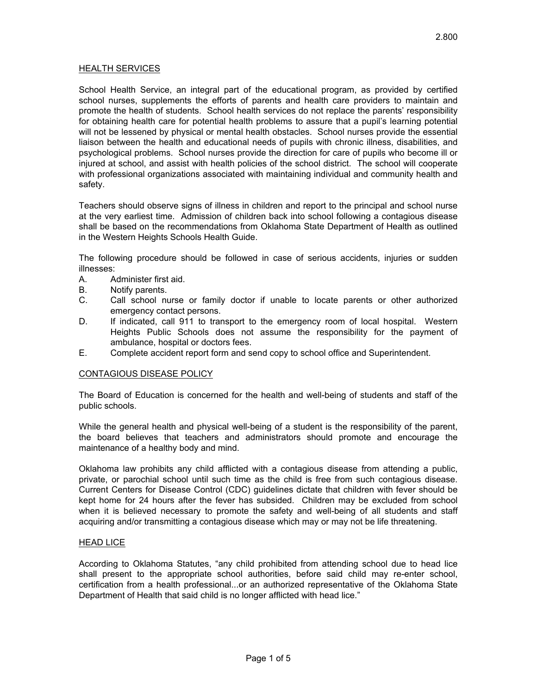### HEALTH SERVICES

School Health Service, an integral part of the educational program, as provided by certified school nurses, supplements the efforts of parents and health care providers to maintain and promote the health of students. School health services do not replace the parents' responsibility for obtaining health care for potential health problems to assure that a pupil's learning potential will not be lessened by physical or mental health obstacles. School nurses provide the essential liaison between the health and educational needs of pupils with chronic illness, disabilities, and psychological problems. School nurses provide the direction for care of pupils who become ill or injured at school, and assist with health policies of the school district. The school will cooperate with professional organizations associated with maintaining individual and community health and safety.

Teachers should observe signs of illness in children and report to the principal and school nurse at the very earliest time. Admission of children back into school following a contagious disease shall be based on the recommendations from Oklahoma State Department of Health as outlined in the Western Heights Schools Health Guide.

The following procedure should be followed in case of serious accidents, injuries or sudden illnesses:

- A. Administer first aid.
- B. Notify parents.
- C. Call school nurse or family doctor if unable to locate parents or other authorized emergency contact persons.
- D. If indicated, call 911 to transport to the emergency room of local hospital. Western Heights Public Schools does not assume the responsibility for the payment of ambulance, hospital or doctors fees.
- E. Complete accident report form and send copy to school office and Superintendent.

### CONTAGIOUS DISEASE POLICY

The Board of Education is concerned for the health and well-being of students and staff of the public schools.

While the general health and physical well-being of a student is the responsibility of the parent, the board believes that teachers and administrators should promote and encourage the maintenance of a healthy body and mind.

Oklahoma law prohibits any child afflicted with a contagious disease from attending a public, private, or parochial school until such time as the child is free from such contagious disease. Current Centers for Disease Control (CDC) guidelines dictate that children with fever should be kept home for 24 hours after the fever has subsided. Children may be excluded from school when it is believed necessary to promote the safety and well-being of all students and staff acquiring and/or transmitting a contagious disease which may or may not be life threatening.

### **HEAD LICE**

According to Oklahoma Statutes, "any child prohibited from attending school due to head lice shall present to the appropriate school authorities, before said child may re-enter school, certification from a health professional...or an authorized representative of the Oklahoma State Department of Health that said child is no longer afflicted with head lice."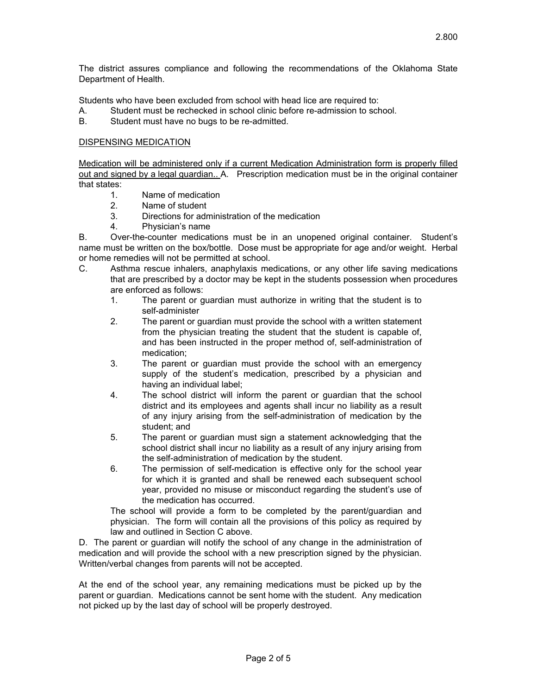The district assures compliance and following the recommendations of the Oklahoma State Department of Health.

Students who have been excluded from school with head lice are required to:

- A. Student must be rechecked in school clinic before re-admission to school.
- B. Student must have no bugs to be re-admitted.

# DISPENSING MEDICATION

Medication will be administered only if a current Medication Administration form is properly filled out and signed by a legal guardian.. A. Prescription medication must be in the original container that states:

- 1. Name of medication
- 2. Name of student
- 3. Directions for administration of the medication
- 4. Physician's name

B. Over-the-counter medications must be in an unopened original container. Student's name must be written on the box/bottle. Dose must be appropriate for age and/or weight. Herbal or home remedies will not be permitted at school.

- C. Asthma rescue inhalers, anaphylaxis medications, or any other life saving medications that are prescribed by a doctor may be kept in the students possession when procedures are enforced as follows:
	- 1. The parent or guardian must authorize in writing that the student is to self-administer
	- 2. The parent or guardian must provide the school with a written statement from the physician treating the student that the student is capable of, and has been instructed in the proper method of, self-administration of medication;
	- 3. The parent or guardian must provide the school with an emergency supply of the student's medication, prescribed by a physician and having an individual label;
	- 4. The school district will inform the parent or guardian that the school district and its employees and agents shall incur no liability as a result of any injury arising from the self-administration of medication by the student; and
	- 5. The parent or guardian must sign a statement acknowledging that the school district shall incur no liability as a result of any injury arising from the self-administration of medication by the student.
	- 6. The permission of self-medication is effective only for the school year for which it is granted and shall be renewed each subsequent school year, provided no misuse or misconduct regarding the student's use of the medication has occurred.

The school will provide a form to be completed by the parent/guardian and physician. The form will contain all the provisions of this policy as required by law and outlined in Section C above.

D. The parent or guardian will notify the school of any change in the administration of medication and will provide the school with a new prescription signed by the physician. Written/verbal changes from parents will not be accepted.

At the end of the school year, any remaining medications must be picked up by the parent or guardian. Medications cannot be sent home with the student. Any medication not picked up by the last day of school will be properly destroyed.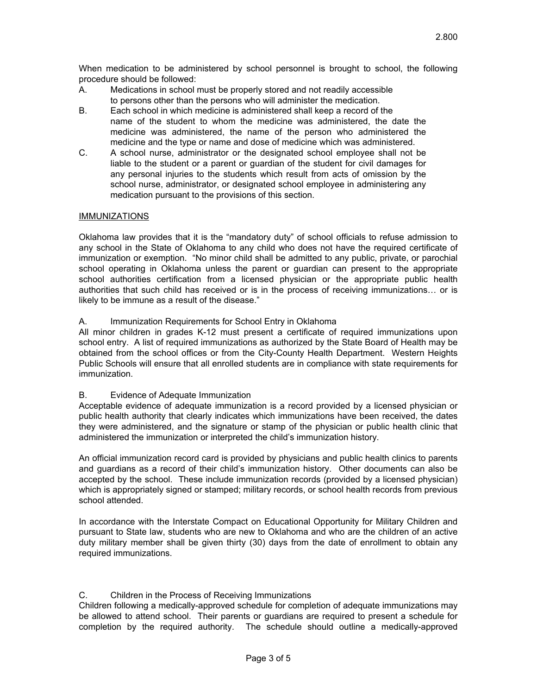When medication to be administered by school personnel is brought to school, the following procedure should be followed:

- A. Medications in school must be properly stored and not readily accessible to persons other than the persons who will administer the medication.
- B. Each school in which medicine is administered shall keep a record of the name of the student to whom the medicine was administered, the date the medicine was administered, the name of the person who administered the medicine and the type or name and dose of medicine which was administered.
- C. A school nurse, administrator or the designated school employee shall not be liable to the student or a parent or guardian of the student for civil damages for any personal injuries to the students which result from acts of omission by the school nurse, administrator, or designated school employee in administering any medication pursuant to the provisions of this section.

# IMMUNIZATIONS

Oklahoma law provides that it is the "mandatory duty" of school officials to refuse admission to any school in the State of Oklahoma to any child who does not have the required certificate of immunization or exemption. "No minor child shall be admitted to any public, private, or parochial school operating in Oklahoma unless the parent or guardian can present to the appropriate school authorities certification from a licensed physician or the appropriate public health authorities that such child has received or is in the process of receiving immunizations… or is likely to be immune as a result of the disease."

# A. Immunization Requirements for School Entry in Oklahoma

All minor children in grades K-12 must present a certificate of required immunizations upon school entry. A list of required immunizations as authorized by the State Board of Health may be obtained from the school offices or from the City-County Health Department. Western Heights Public Schools will ensure that all enrolled students are in compliance with state requirements for immunization.

# B. Evidence of Adequate Immunization

Acceptable evidence of adequate immunization is a record provided by a licensed physician or public health authority that clearly indicates which immunizations have been received, the dates they were administered, and the signature or stamp of the physician or public health clinic that administered the immunization or interpreted the child's immunization history.

An official immunization record card is provided by physicians and public health clinics to parents and guardians as a record of their child's immunization history. Other documents can also be accepted by the school. These include immunization records (provided by a licensed physician) which is appropriately signed or stamped; military records, or school health records from previous school attended.

In accordance with the Interstate Compact on Educational Opportunity for Military Children and pursuant to State law, students who are new to Oklahoma and who are the children of an active duty military member shall be given thirty (30) days from the date of enrollment to obtain any required immunizations.

# C. Children in the Process of Receiving Immunizations

Children following a medically-approved schedule for completion of adequate immunizations may be allowed to attend school. Their parents or guardians are required to present a schedule for completion by the required authority. The schedule should outline a medically-approved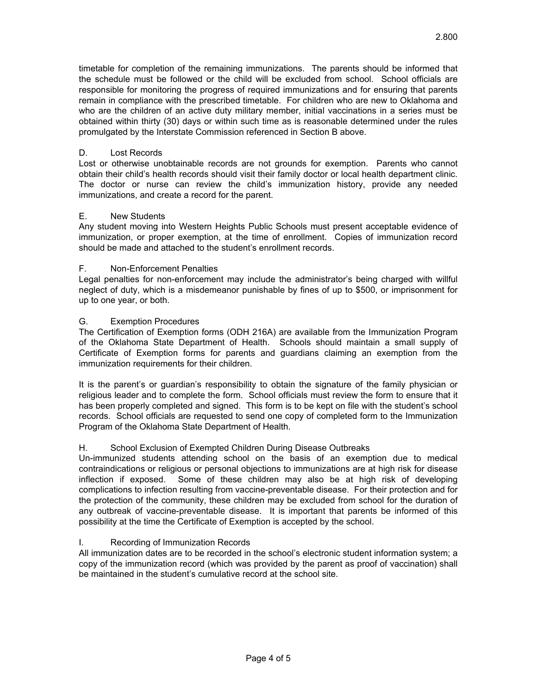timetable for completion of the remaining immunizations. The parents should be informed that the schedule must be followed or the child will be excluded from school. School officials are responsible for monitoring the progress of required immunizations and for ensuring that parents remain in compliance with the prescribed timetable. For children who are new to Oklahoma and who are the children of an active duty military member, initial vaccinations in a series must be obtained within thirty (30) days or within such time as is reasonable determined under the rules promulgated by the Interstate Commission referenced in Section B above.

# D. Lost Records

Lost or otherwise unobtainable records are not grounds for exemption. Parents who cannot obtain their child's health records should visit their family doctor or local health department clinic. The doctor or nurse can review the child's immunization history, provide any needed immunizations, and create a record for the parent.

# E. New Students

Any student moving into Western Heights Public Schools must present acceptable evidence of immunization, or proper exemption, at the time of enrollment. Copies of immunization record should be made and attached to the student's enrollment records.

# F. Non-Enforcement Penalties

Legal penalties for non-enforcement may include the administrator's being charged with willful neglect of duty, which is a misdemeanor punishable by fines of up to \$500, or imprisonment for up to one year, or both.

# G. Exemption Procedures

The Certification of Exemption forms (ODH 216A) are available from the Immunization Program of the Oklahoma State Department of Health. Schools should maintain a small supply of Certificate of Exemption forms for parents and guardians claiming an exemption from the immunization requirements for their children.

It is the parent's or guardian's responsibility to obtain the signature of the family physician or religious leader and to complete the form. School officials must review the form to ensure that it has been properly completed and signed. This form is to be kept on file with the student's school records. School officials are requested to send one copy of completed form to the Immunization Program of the Oklahoma State Department of Health.

# H. School Exclusion of Exempted Children During Disease Outbreaks

Un-immunized students attending school on the basis of an exemption due to medical contraindications or religious or personal objections to immunizations are at high risk for disease inflection if exposed. Some of these children may also be at high risk of developing complications to infection resulting from vaccine-preventable disease. For their protection and for the protection of the community, these children may be excluded from school for the duration of any outbreak of vaccine-preventable disease. It is important that parents be informed of this possibility at the time the Certificate of Exemption is accepted by the school.

# I. Recording of Immunization Records

All immunization dates are to be recorded in the school's electronic student information system; a copy of the immunization record (which was provided by the parent as proof of vaccination) shall be maintained in the student's cumulative record at the school site.